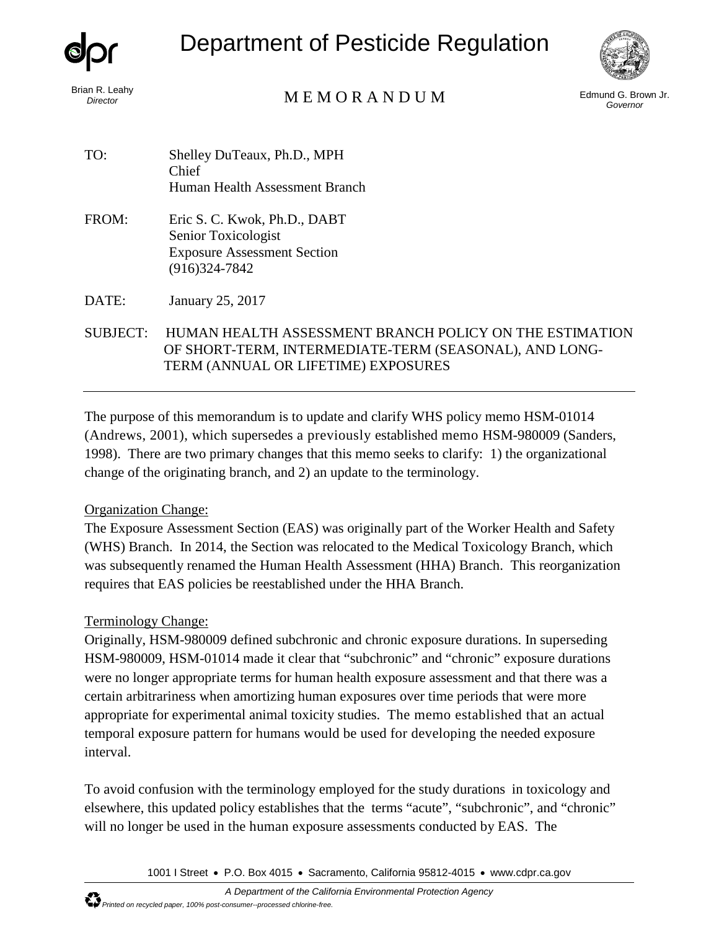

Department of Pesticide Regulation



# Brian R. Leahy<br>*Director* **Edmund G. Brown Jr. MEMORANDUM** Edmund G. Brown Jr.

*Governor*

- TO: Shelley DuTeaux, Ph.D., MPH Chief Human Health Assessment Branch
- FROM: Eric S. C. Kwok, Ph.D., DABT Senior Toxicologist Exposure Assessment Section (916)324-7842

DATE: January 25, 2017

SUBJECT: HUMAN HEALTH ASSESSMENT BRANCH POLICY ON THE ESTIMATION OF SHORT-TERM, INTERMEDIATE-TERM (SEASONAL), AND LONG-TERM (ANNUAL OR LIFETIME) EXPOSURES

The purpose of this memorandum is to update and clarify WHS policy memo HSM-01014 [\(Andrews, 2001\)](#page-2-0), which supersedes a previously established memo HSM-980009 [\(Sanders,](#page-2-1)  [1998\)](#page-2-1). There are two primary changes that this memo seeks to clarify: 1) the organizational change of the originating branch, and 2) an update to the terminology.

## Organization Change:

The Exposure Assessment Section (EAS) was originally part of the Worker Health and Safety (WHS) Branch. In 2014, the Section was relocated to the Medical Toxicology Branch, which was subsequently renamed the Human Health Assessment (HHA) Branch. This reorganization requires that EAS policies be reestablished under the HHA Branch.

## Terminology Change:

Originally, HSM-980009 defined subchronic and chronic exposure durations. In superseding HSM-980009, HSM-01014 made it clear that "subchronic" and "chronic" exposure durations were no longer appropriate terms for human health exposure assessment and that there was a certain arbitrariness when amortizing human exposures over time periods that were more appropriate for experimental animal toxicity studies. The memo established that an actual temporal exposure pattern for humans would be used for developing the needed exposure interval.

To avoid confusion with the terminology employed for the study durations in toxicology and elsewhere, this updated policy establishes that the terms "acute", "subchronic", and "chronic" will no longer be used in the human exposure assessments conducted by EAS. The

1001 I Street • P.O. Box 4015 • Sacramento, California 95812-4015 • [www.cdpr.ca.gov](http://www.cdpr.ca.gov/)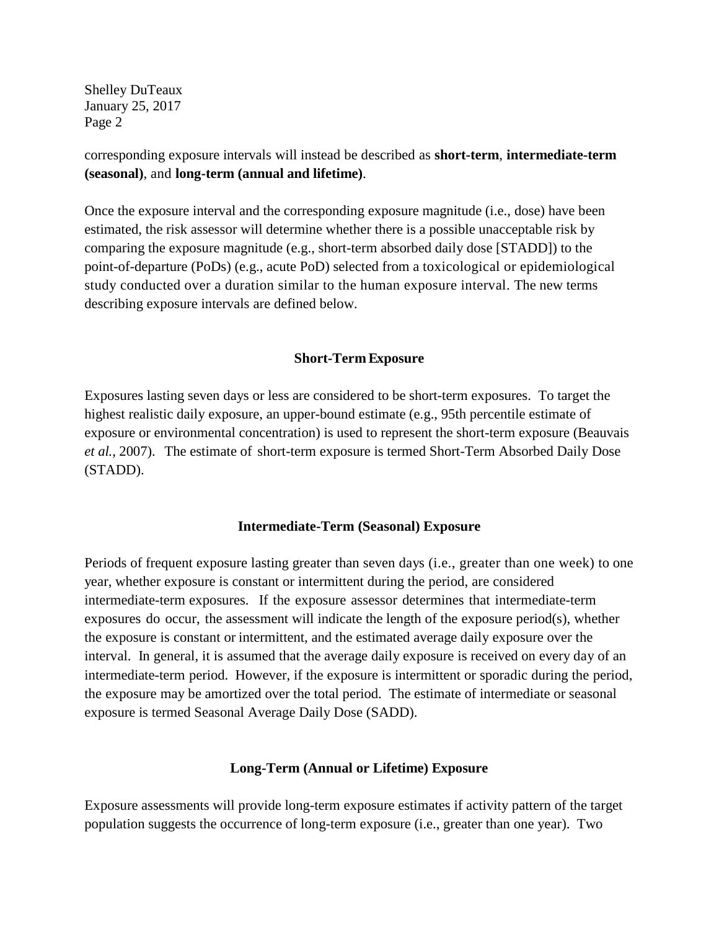Shelley DuTeaux January 25, 2017 Page 2

corresponding exposure intervals will instead be described as **short-term**, **intermediate-term (seasonal)**, and **long-term (annual and lifetime)**.

Once the exposure interval and the corresponding exposure magnitude (i.e., dose) have been estimated, the risk assessor will determine whether there is a possible unacceptable risk by comparing the exposure magnitude (e.g., short-term absorbed daily dose [STADD]) to the point-of-departure (PoDs) (e.g., acute PoD) selected from a toxicological or epidemiological study conducted over a duration similar to the human exposure interval. The new terms describing exposure intervals are defined below.

## **Short-Term Exposure**

Exposures lasting seven days or less are considered to be short-term exposures. To target the highest realistic daily exposure, an upper-bound estimate (e.g., 95th percentile estimate of exposure or environmental concentration) is used to represent the short-term exposure [\(Beauvais](#page-2-2) *et al.*[, 2007\)](#page-2-2). The estimate of short-term exposure is termed Short-Term Absorbed Daily Dose (STADD).

#### **Intermediate-Term (Seasonal) Exposure**

Periods of frequent exposure lasting greater than seven days (i.e., greater than one week) to one year, whether exposure is constant or intermittent during the period, are considered intermediate-term exposures. If the exposure assessor determines that intermediate-term exposures do occur, the assessment will indicate the length of the exposure period(s), whether the exposure is constant or intermittent, and the estimated average daily exposure over the interval. In general, it is assumed that the average daily exposure is received on every day of an intermediate-term period. However, if the exposure is intermittent or sporadic during the period, the exposure may be amortized over the total period. The estimate of intermediate or seasonal exposure is termed Seasonal Average Daily Dose (SADD).

## **Long-Term (Annual or Lifetime) Exposure**

Exposure assessments will provide long-term exposure estimates if activity pattern of the target population suggests the occurrence of long-term exposure (i.e., greater than one year). Two